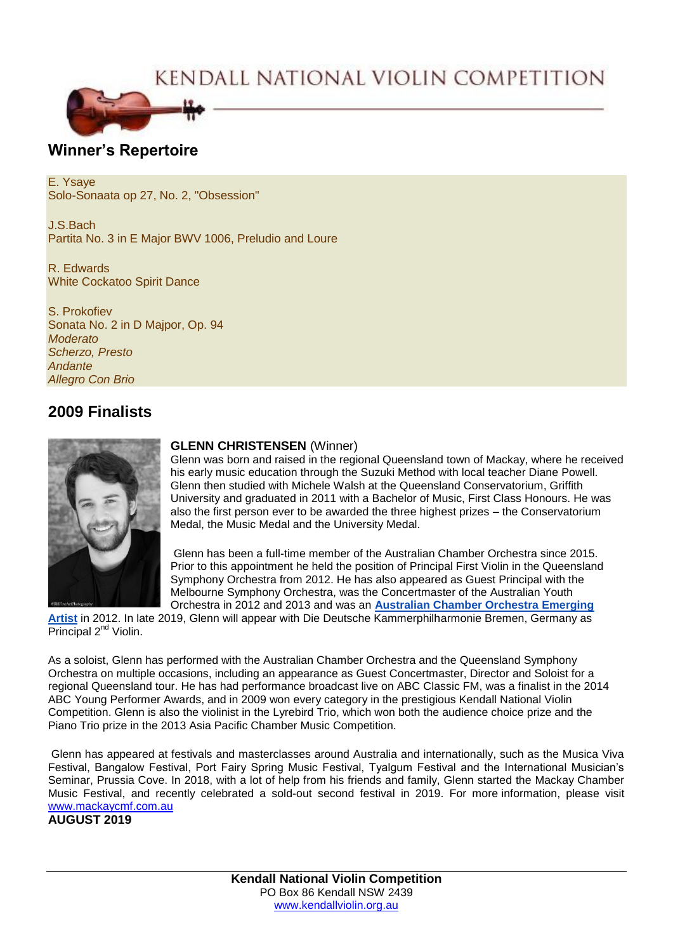# KENDALL NATIONAL VIOLIN COMPETITION



# **Winner's Repertoire**

E. Ysaye Solo-Sonaata op 27, No. 2, "Obsession"

J.S.Bach Partita No. 3 in E Major BWV 1006, Preludio and Loure

R. Edwards White Cockatoo Spirit Dance

S. Prokofiev Sonata No. 2 in D Majpor, Op. 94 *Moderato Scherzo, Presto Andante Allegro Con Brio*

# **2009 Finalists**



### **GLENN CHRISTENSEN** (Winner)

Glenn was born and raised in the regional Queensland town of Mackay, where he received his early music education through the Suzuki Method with local teacher Diane Powell. Glenn then studied with Michele Walsh at the Queensland Conservatorium, Griffith University and graduated in 2011 with a Bachelor of Music, First Class Honours. He was also the first person ever to be awarded the three highest prizes – the Conservatorium Medal, the Music Medal and the University Medal.

Glenn has been a full-time member of the Australian Chamber Orchestra since 2015. Prior to this appointment he held the position of Principal First Violin in the Queensland Symphony Orchestra from 2012. He has also appeared as Guest Principal with the Melbourne Symphony Orchestra, was the Concertmaster of the Australian Youth Orchestra in 2012 and 2013 and was an **[Australian Chamber Orchestra](https://www.aco.com.au/education/emerging_artists) Emerging** 

**[Artist](https://www.aco.com.au/education/emerging_artists)** in 2012. In late 2019, Glenn will appear with Die Deutsche Kammerphilharmonie Bremen, Germany as Principal 2<sup>nd</sup> Violin.

As a soloist, Glenn has performed with the Australian Chamber Orchestra and the Queensland Symphony Orchestra on multiple occasions, including an appearance as Guest Concertmaster, Director and Soloist for a regional Queensland tour. He has had performance broadcast live on ABC Classic FM, was a finalist in the 2014 ABC Young Performer Awards, and in 2009 won every category in the prestigious Kendall National Violin Competition. Glenn is also the violinist in the Lyrebird Trio, which won both the audience choice prize and the Piano Trio prize in the 2013 Asia Pacific Chamber Music Competition.

Glenn has appeared at festivals and masterclasses around Australia and internationally, such as the Musica Viva Festival, Bangalow Festival, Port Fairy Spring Music Festival, Tyalgum Festival and the International Musician's Seminar, Prussia Cove. In 2018, with a lot of help from his friends and family, Glenn started the Mackay Chamber Music Festival, and recently celebrated a sold-out second festival in 2019. For more information, please visit [www.mackaycmf.com.au](http://www.mackaycmf.com.au/)

# **AUGUST 2019**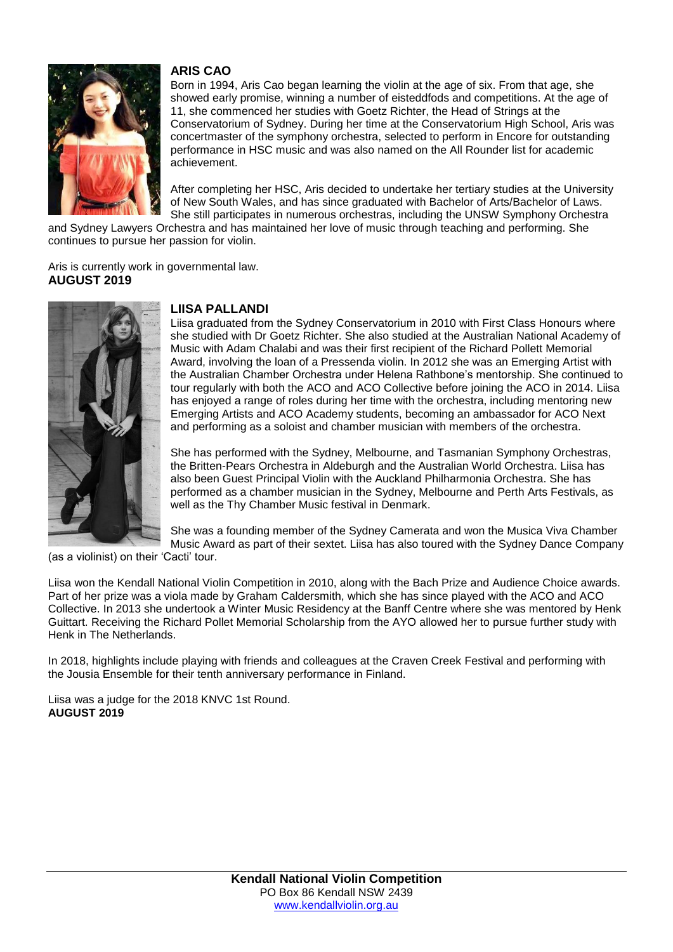

# **ARIS CAO**

Born in 1994, Aris Cao began learning the violin at the age of six. From that age, she showed early promise, winning a number of eisteddfods and competitions. At the age of 11, she commenced her studies with Goetz Richter, the Head of Strings at the Conservatorium of Sydney. During her time at the Conservatorium High School, Aris was concertmaster of the symphony orchestra, selected to perform in Encore for outstanding performance in HSC music and was also named on the All Rounder list for academic achievement.

After completing her HSC, Aris decided to undertake her tertiary studies at the University of New South Wales, and has since graduated with Bachelor of Arts/Bachelor of Laws. She still participates in numerous orchestras, including the UNSW Symphony Orchestra

and Sydney Lawyers Orchestra and has maintained her love of music through teaching and performing. She continues to pursue her passion for violin.

Aris is currently work in governmental law. **AUGUST 2019**



# **LIISA PALLANDI**

Liisa graduated from the Sydney Conservatorium in 2010 with First Class Honours where she studied with Dr Goetz Richter. She also studied at the Australian National Academy of Music with Adam Chalabi and was their first recipient of the Richard Pollett Memorial Award, involving the loan of a Pressenda violin. In 2012 she was an Emerging Artist with the Australian Chamber Orchestra under Helena Rathbone's mentorship. She continued to tour regularly with both the ACO and ACO Collective before joining the ACO in 2014. Liisa has enjoyed a range of roles during her time with the orchestra, including mentoring new Emerging Artists and ACO Academy students, becoming an ambassador for ACO Next and performing as a soloist and chamber musician with members of the orchestra.

She has performed with the Sydney, Melbourne, and Tasmanian Symphony Orchestras, the Britten-Pears Orchestra in Aldeburgh and the Australian World Orchestra. Liisa has also been Guest Principal Violin with the Auckland Philharmonia Orchestra. She has performed as a chamber musician in the Sydney, Melbourne and Perth Arts Festivals, as well as the Thy Chamber Music festival in Denmark.

She was a founding member of the Sydney Camerata and won the Musica Viva Chamber Music Award as part of their sextet. Liisa has also toured with the Sydney Dance Company

(as a violinist) on their 'Cacti' tour.

Liisa won the Kendall National Violin Competition in 2010, along with the Bach Prize and Audience Choice awards. Part of her prize was a viola made by Graham Caldersmith, which she has since played with the ACO and ACO Collective. In 2013 she undertook a Winter Music Residency at the Banff Centre where she was mentored by Henk Guittart. Receiving the Richard Pollet Memorial Scholarship from the AYO allowed her to pursue further study with Henk in The Netherlands.

In 2018, highlights include playing with friends and colleagues at the Craven Creek Festival and performing with the Jousia Ensemble for their tenth anniversary performance in Finland.

Liisa was a judge for the 2018 KNVC 1st Round. **AUGUST 2019**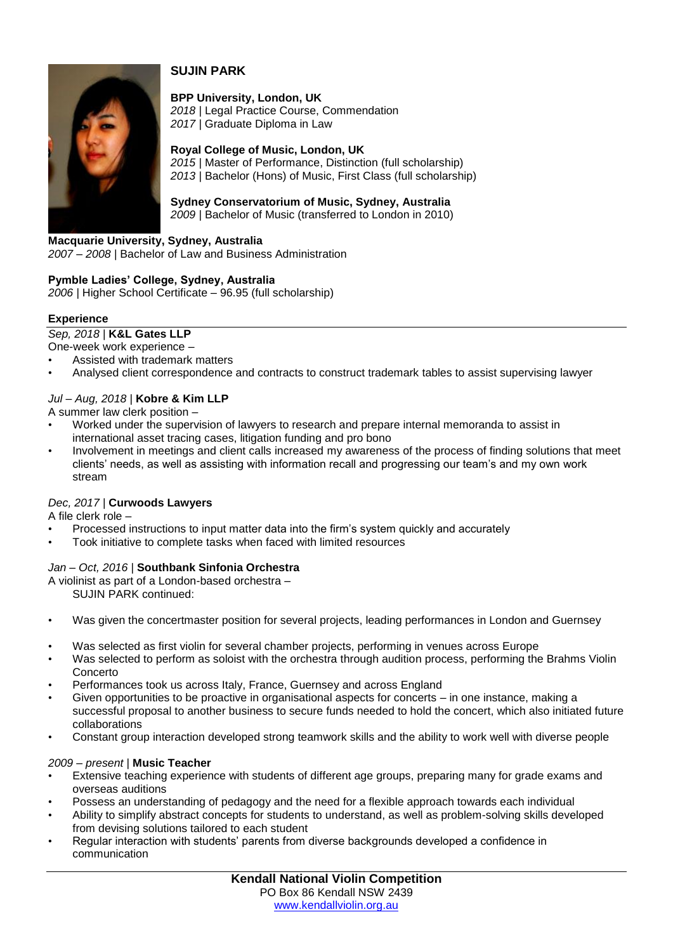

# **SUJIN PARK**

**BPP University, London, UK** *2018* | Legal Practice Course, Commendation

*2017* | Graduate Diploma in Law

**Royal College of Music, London, UK**

*2015* | Master of Performance, Distinction (full scholarship) *2013* | Bachelor (Hons) of Music, First Class (full scholarship)

**Sydney Conservatorium of Music, Sydney, Australia** *2009* | Bachelor of Music (transferred to London in 2010)

**Macquarie University, Sydney, Australia** *2007 – 2008* | Bachelor of Law and Business Administration

# **Pymble Ladies' College, Sydney, Australia**

*2006* | Higher School Certificate – 96.95 (full scholarship)

### **Experience**

*Sep, 2018* | **K&L Gates LLP**

- One-week work experience –
- Assisted with trademark matters
- Analysed client correspondence and contracts to construct trademark tables to assist supervising lawyer

# *Jul – Aug, 2018* | **Kobre & Kim LLP**

A summer law clerk position –

- Worked under the supervision of lawyers to research and prepare internal memoranda to assist in international asset tracing cases, litigation funding and pro bono
- Involvement in meetings and client calls increased my awareness of the process of finding solutions that meet clients' needs, as well as assisting with information recall and progressing our team's and my own work stream

# *Dec, 2017* | **Curwoods Lawyers**

A file clerk role –

- Processed instructions to input matter data into the firm's system quickly and accurately
- Took initiative to complete tasks when faced with limited resources

#### *Jan – Oct, 2016* | **Southbank Sinfonia Orchestra**

A violinist as part of a London-based orchestra –

SUJIN PARK continued:

- Was given the concertmaster position for several projects, leading performances in London and Guernsey
- Was selected as first violin for several chamber projects, performing in venues across Europe
- Was selected to perform as soloist with the orchestra through audition process, performing the Brahms Violin Concerto
- Performances took us across Italy, France, Guernsey and across England
- Given opportunities to be proactive in organisational aspects for concerts in one instance, making a successful proposal to another business to secure funds needed to hold the concert, which also initiated future collaborations
- Constant group interaction developed strong teamwork skills and the ability to work well with diverse people

#### *2009 – present* | **Music Teacher**

- Extensive teaching experience with students of different age groups, preparing many for grade exams and overseas auditions
- Possess an understanding of pedagogy and the need for a flexible approach towards each individual
- Ability to simplify abstract concepts for students to understand, as well as problem-solving skills developed from devising solutions tailored to each student
- Regular interaction with students' parents from diverse backgrounds developed a confidence in communication